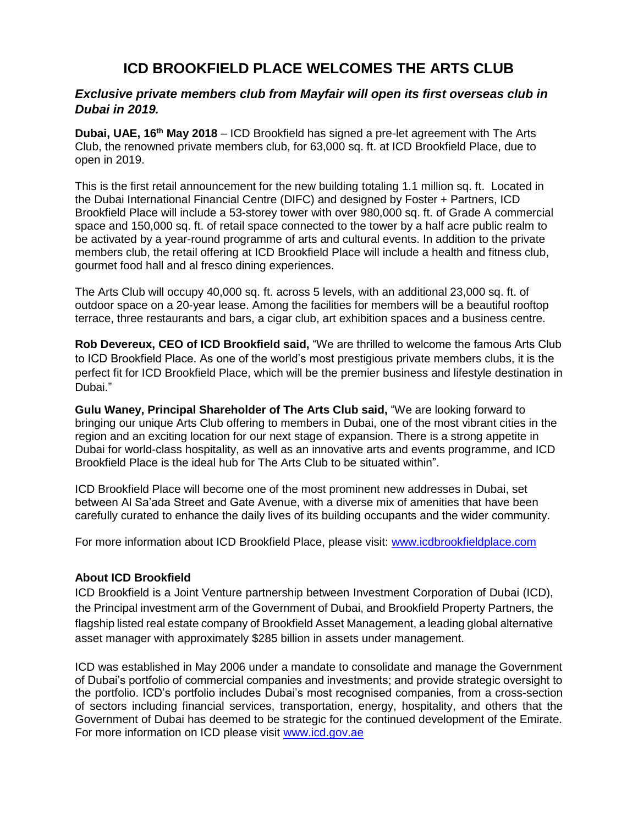# **ICD BROOKFIELD PLACE WELCOMES THE ARTS CLUB**

# *Exclusive private members club from Mayfair will open its first overseas club in Dubai in 2019.*

**Dubai, UAE, 16th May 2018** – ICD Brookfield has signed a pre-let agreement with The Arts Club, the renowned private members club, for 63,000 sq. ft. at ICD Brookfield Place, due to open in 2019.

This is the first retail announcement for the new building totaling 1.1 million sq. ft. Located in the Dubai International Financial Centre (DIFC) and designed by Foster + Partners, ICD Brookfield Place will include a 53-storey tower with over 980,000 sq. ft. of Grade A commercial space and 150,000 sq. ft. of retail space connected to the tower by a half acre public realm to be activated by a year-round programme of arts and cultural events. In addition to the private members club, the retail offering at ICD Brookfield Place will include a health and fitness club, gourmet food hall and al fresco dining experiences.

The Arts Club will occupy 40,000 sq. ft. across 5 levels, with an additional 23,000 sq. ft. of outdoor space on a 20-year lease. Among the facilities for members will be a beautiful rooftop terrace, three restaurants and bars, a cigar club, art exhibition spaces and a business centre.

**Rob Devereux, CEO of ICD Brookfield said,** "We are thrilled to welcome the famous Arts Club to ICD Brookfield Place. As one of the world's most prestigious private members clubs, it is the perfect fit for ICD Brookfield Place, which will be the premier business and lifestyle destination in Dubai."

**Gulu Waney, Principal Shareholder of The Arts Club said,** "We are looking forward to bringing our unique Arts Club offering to members in Dubai, one of the most vibrant cities in the region and an exciting location for our next stage of expansion. There is a strong appetite in Dubai for world-class hospitality, as well as an innovative arts and events programme, and ICD Brookfield Place is the ideal hub for The Arts Club to be situated within".

ICD Brookfield Place will become one of the most prominent new addresses in Dubai, set between Al Sa'ada Street and Gate Avenue, with a diverse mix of amenities that have been carefully curated to enhance the daily lives of its building occupants and the wider community.

For more information about ICD Brookfield Place, please visit: [www.icdbrookfieldplace.com](http://www.icdbrookfieldplace.com/)

## **About ICD Brookfield**

ICD Brookfield is a Joint Venture partnership between Investment Corporation of Dubai (ICD), the Principal investment arm of the Government of Dubai, and Brookfield Property Partners, the flagship listed real estate company of Brookfield Asset Management, a leading global alternative asset manager with approximately \$285 billion in assets under management.

ICD was established in May 2006 under a mandate to consolidate and manage the Government of Dubai's portfolio of commercial companies and investments; and provide strategic oversight to the portfolio. ICD's portfolio includes Dubai's most recognised companies, from a cross-section of sectors including financial services, transportation, energy, hospitality, and others that the Government of Dubai has deemed to be strategic for the continued development of the Emirate. For more information on ICD please visit [www.icd.gov.ae](http://www.icd.gov.ae/)